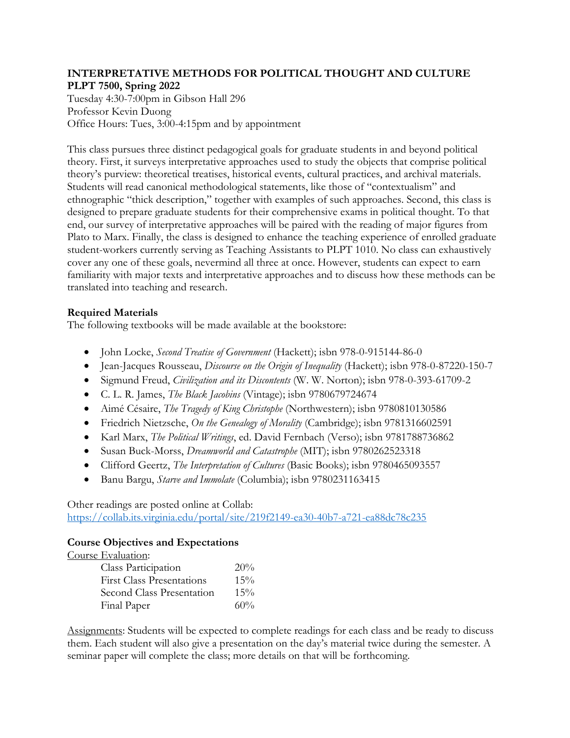## **INTERPRETATIVE METHODS FOR POLITICAL THOUGHT AND CULTURE PLPT 7500, Spring 2022**

Tuesday 4:30-7:00pm in Gibson Hall 296 Professor Kevin Duong Office Hours: Tues, 3:00-4:15pm and by appointment

This class pursues three distinct pedagogical goals for graduate students in and beyond political theory. First, it surveys interpretative approaches used to study the objects that comprise political theory's purview: theoretical treatises, historical events, cultural practices, and archival materials. Students will read canonical methodological statements, like those of "contextualism" and ethnographic "thick description," together with examples of such approaches. Second, this class is designed to prepare graduate students for their comprehensive exams in political thought. To that end, our survey of interpretative approaches will be paired with the reading of major figures from Plato to Marx. Finally, the class is designed to enhance the teaching experience of enrolled graduate student-workers currently serving as Teaching Assistants to PLPT 1010. No class can exhaustively cover any one of these goals, nevermind all three at once. However, students can expect to earn familiarity with major texts and interpretative approaches and to discuss how these methods can be translated into teaching and research.

# **Required Materials**

The following textbooks will be made available at the bookstore:

- John Locke, *Second Treatise of Government* (Hackett); isbn 978-0-915144-86-0
- Jean-Jacques Rousseau, *Discourse on the Origin of Inequality* (Hackett); isbn 978-0-87220-150-7
- Sigmund Freud, *Civilization and its Discontents* (W. W. Norton); isbn 978-0-393-61709-2
- C. L. R. James, *The Black Jacobins* (Vintage); isbn 9780679724674
- Aimé Césaire, *The Tragedy of King Christophe* (Northwestern); isbn 9780810130586
- Friedrich Nietzsche, *On the Genealogy of Morality* (Cambridge); isbn 9781316602591
- Karl Marx, *The Political Writings*, ed. David Fernbach (Verso); isbn 9781788736862
- Susan Buck-Morss, *Dreamworld and Catastrophe* (MIT); isbn 9780262523318
- Clifford Geertz, *The Interpretation of Cultures* (Basic Books); isbn 9780465093557
- Banu Bargu, *Starve and Immolate* (Columbia); isbn 9780231163415

Other readings are posted online at Collab:

https://collab.its.virginia.edu/portal/site/219f2149-ea30-40b7-a721-ea88dc78c235

## **Course Objectives and Expectations**

Course Evaluation:

| Class Participation              | 20% |
|----------------------------------|-----|
| <b>First Class Presentations</b> | 15% |
| Second Class Presentation        | 15% |
| Final Paper                      | 60% |

Assignments: Students will be expected to complete readings for each class and be ready to discuss them. Each student will also give a presentation on the day's material twice during the semester. A seminar paper will complete the class; more details on that will be forthcoming.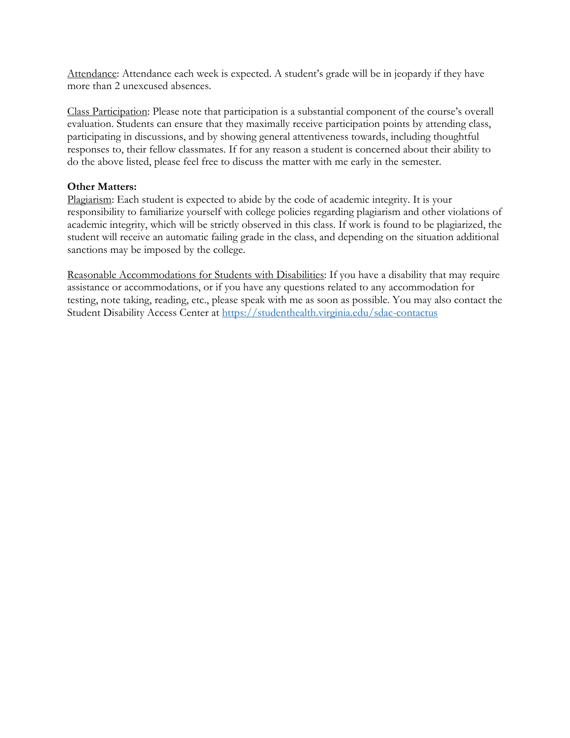Attendance: Attendance each week is expected. A student's grade will be in jeopardy if they have more than 2 unexcused absences.

Class Participation: Please note that participation is a substantial component of the course's overall evaluation. Students can ensure that they maximally receive participation points by attending class, participating in discussions, and by showing general attentiveness towards, including thoughtful responses to, their fellow classmates. If for any reason a student is concerned about their ability to do the above listed, please feel free to discuss the matter with me early in the semester.

## **Other Matters:**

Plagiarism: Each student is expected to abide by the code of academic integrity. It is your responsibility to familiarize yourself with college policies regarding plagiarism and other violations of academic integrity, which will be strictly observed in this class. If work is found to be plagiarized, the student will receive an automatic failing grade in the class, and depending on the situation additional sanctions may be imposed by the college.

Reasonable Accommodations for Students with Disabilities: If you have a disability that may require assistance or accommodations, or if you have any questions related to any accommodation for testing, note taking, reading, etc., please speak with me as soon as possible. You may also contact the Student Disability Access Center at https://studenthealth.virginia.edu/sdac-contactus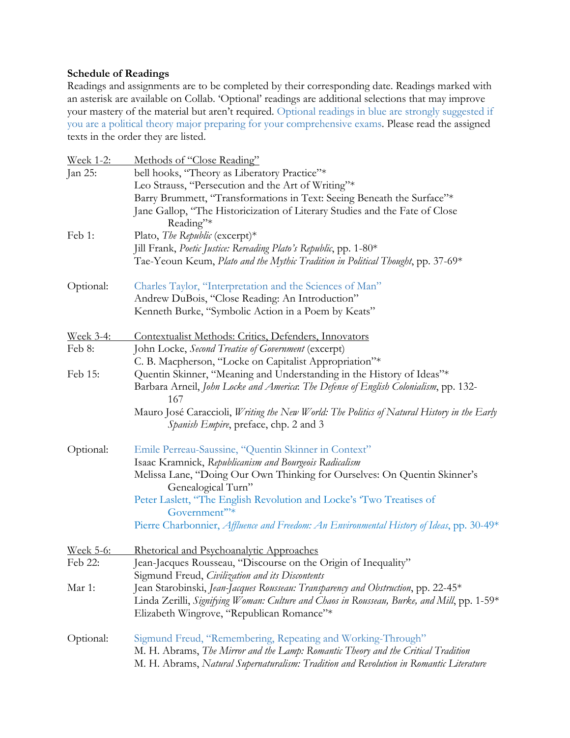# **Schedule of Readings**

Readings and assignments are to be completed by their corresponding date. Readings marked with an asterisk are available on Collab. 'Optional' readings are additional selections that may improve your mastery of the material but aren't required. Optional readings in blue are strongly suggested if you are a political theory major preparing for your comprehensive exams. Please read the assigned texts in the order they are listed.

| <u>Week 1-2:</u> | Methods of "Close Reading"                                                                                                                 |
|------------------|--------------------------------------------------------------------------------------------------------------------------------------------|
| Jan 25:          | bell hooks, "Theory as Liberatory Practice"*                                                                                               |
|                  | Leo Strauss, "Persecution and the Art of Writing"*                                                                                         |
|                  | Barry Brummett, "Transformations in Text: Seeing Beneath the Surface"*                                                                     |
|                  | Jane Gallop, "The Historicization of Literary Studies and the Fate of Close                                                                |
|                  | Reading"*                                                                                                                                  |
| Feb 1:           | Plato, The Republic (excerpt)*                                                                                                             |
|                  | Jill Frank, Poetic Justice: Rereading Plato's Republic, pp. 1-80*                                                                          |
|                  | Tae-Yeoun Keum, Plato and the Mythic Tradition in Political Thought, pp. 37-69*                                                            |
| Optional:        | Charles Taylor, "Interpretation and the Sciences of Man"                                                                                   |
|                  | Andrew DuBois, "Close Reading: An Introduction"                                                                                            |
|                  | Kenneth Burke, "Symbolic Action in a Poem by Keats"                                                                                        |
| <u>Week 3-4:</u> | Contextualist Methods: Critics, Defenders, Innovators                                                                                      |
| Feb 8:           | John Locke, Second Treatise of Government (excerpt)                                                                                        |
|                  | C. B. Macpherson, "Locke on Capitalist Appropriation"*                                                                                     |
| Feb 15:          | Quentin Skinner, "Meaning and Understanding in the History of Ideas"*                                                                      |
|                  | Barbara Arneil, John Locke and America. The Defense of English Colonialism, pp. 132-                                                       |
|                  | 167                                                                                                                                        |
|                  | Mauro José Caraccioli, <i>Writing the New World: The Politics of Natural History in the Early</i><br>Spanish Empire, preface, chp. 2 and 3 |
| Optional:        | Emile Perreau-Saussine, "Quentin Skinner in Context"                                                                                       |
|                  | Isaac Kramnick, Republicanism and Bourgeois Radicalism                                                                                     |
|                  | Melissa Lane, "Doing Our Own Thinking for Ourselves: On Quentin Skinner's<br>Genealogical Turn"                                            |
|                  | Peter Laslett, "The English Revolution and Locke's 'Two Treatises of                                                                       |
|                  | Government"*                                                                                                                               |
|                  | Pierre Charbonnier, Affluence and Freedom: An Environmental History of Ideas, pp. 30-49*                                                   |
| <u>Week 5-6:</u> | Rhetorical and Psychoanalytic Approaches                                                                                                   |
| Feb 22:          | Jean-Jacques Rousseau, "Discourse on the Origin of Inequality"                                                                             |
|                  | Sigmund Freud, Civilization and its Discontents                                                                                            |
| Mar 1:           | Jean Starobinski, Jean-Jacques Rousseau: Transparency and Obstruction, pp. 22-45*                                                          |
|                  | Linda Zerilli, Signifying Woman: Culture and Chaos in Rousseau, Burke, and Mill, pp. 1-59*                                                 |
|                  | Elizabeth Wingrove, "Republican Romance"*                                                                                                  |
| Optional:        | Sigmund Freud, "Remembering, Repeating and Working-Through"                                                                                |
|                  | M. H. Abrams, The Mirror and the Lamp: Romantic Theory and the Critical Tradition                                                          |
|                  | M. H. Abrams, Natural Supernaturalism: Tradition and Revolution in Romantic Literature                                                     |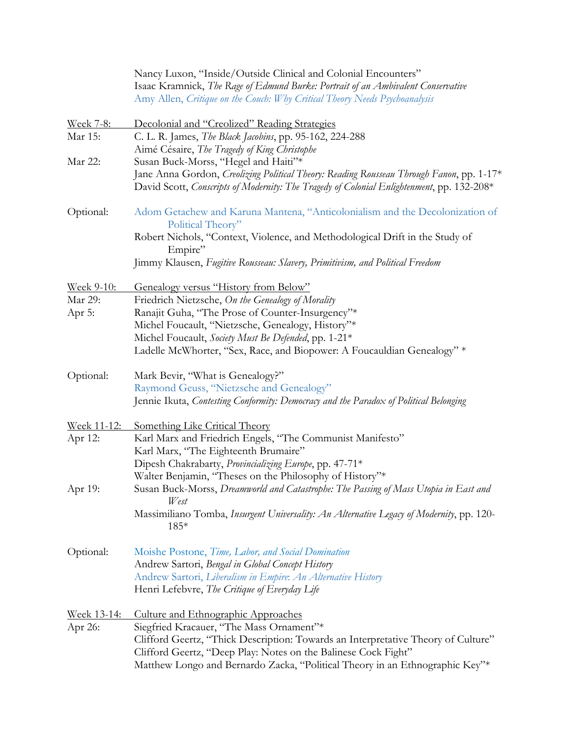|                             | Nancy Luxon, "Inside/Outside Clinical and Colonial Encounters"<br>Isaac Kramnick, The Rage of Edmund Burke: Portrait of an Ambivalent Conservative<br>Amy Allen, Critique on the Couch: Why Critical Theory Needs Psychoanalysis |
|-----------------------------|----------------------------------------------------------------------------------------------------------------------------------------------------------------------------------------------------------------------------------|
|                             |                                                                                                                                                                                                                                  |
| <u>Week 7-8:</u><br>Mar 15: | Decolonial and "Creolized" Reading Strategies<br>C. L. R. James, <i>The Black Jacobins</i> , pp. 95-162, 224-288<br>Aimé Césaire, The Tragedy of King Christophe                                                                 |
| Mar 22:                     | Susan Buck-Morss, "Hegel and Haiti"*                                                                                                                                                                                             |
|                             | Jane Anna Gordon, Creolizing Political Theory: Reading Rousseau Through Fanon, pp. 1-17*<br>David Scott, Conscripts of Modernity: The Tragedy of Colonial Enlightenment, pp. 132-208*                                            |
| Optional:                   | Adom Getachew and Karuna Mantena, "Anticolonialism and the Decolonization of<br>Political Theory"                                                                                                                                |
|                             | Robert Nichols, "Context, Violence, and Methodological Drift in the Study of<br>Empire"                                                                                                                                          |
|                             | Jimmy Klausen, Fugitive Rousseau: Slavery, Primitivism, and Political Freedom                                                                                                                                                    |
| <u>Week 9-10:</u>           | Genealogy versus "History from Below"                                                                                                                                                                                            |
| Mar 29:                     | Friedrich Nietzsche, On the Genealogy of Morality                                                                                                                                                                                |
| Apr 5:                      | Ranajit Guha, "The Prose of Counter-Insurgency"*                                                                                                                                                                                 |
|                             | Michel Foucault, "Nietzsche, Genealogy, History"*                                                                                                                                                                                |
|                             | Michel Foucault, Society Must Be Defended, pp. 1-21*                                                                                                                                                                             |
|                             | Ladelle McWhorter, "Sex, Race, and Biopower: A Foucauldian Genealogy" *                                                                                                                                                          |
| Optional:                   | Mark Bevir, "What is Genealogy?"                                                                                                                                                                                                 |
|                             | Raymond Geuss, "Nietzsche and Genealogy"                                                                                                                                                                                         |
|                             | Jennie Ikuta, Contesting Conformity: Democracy and the Paradox of Political Belonging                                                                                                                                            |
| <u>Week 11-12:</u>          | Something Like Critical Theory                                                                                                                                                                                                   |
| Apr 12:                     | Karl Marx and Friedrich Engels, "The Communist Manifesto"<br>Karl Marx, "The Eighteenth Brumaire"                                                                                                                                |
|                             | Dipesh Chakrabarty, Provincializing Europe, pp. 47-71*                                                                                                                                                                           |
|                             | Walter Benjamin, "Theses on the Philosophy of History"*                                                                                                                                                                          |
| Apr 19:                     | Susan Buck-Morss, Dreamworld and Catastrophe: The Passing of Mass Utopia in East and<br>West                                                                                                                                     |
|                             | Massimiliano Tomba, Insurgent Universality: An Alternative Legacy of Modernity, pp. 120-<br>185*                                                                                                                                 |
| Optional:                   | Moishe Postone, Time, Labor, and Social Domination                                                                                                                                                                               |
|                             | Andrew Sartori, Bengal in Global Concept History                                                                                                                                                                                 |
|                             | Andrew Sartori, Liberalism in Empire: An Alternative History                                                                                                                                                                     |
|                             | Henri Lefebvre, The Critique of Everyday Life                                                                                                                                                                                    |
| Week 13-14:                 | <b>Culture and Ethnographic Approaches</b>                                                                                                                                                                                       |
| Apr 26:                     | Siegfried Kracauer, "The Mass Ornament"*                                                                                                                                                                                         |
|                             | Clifford Geertz, "Thick Description: Towards an Interpretative Theory of Culture"<br>Clifford Geertz, "Deep Play: Notes on the Balinese Cock Fight"                                                                              |
|                             | Matthew Longo and Bernardo Zacka, "Political Theory in an Ethnographic Key"*                                                                                                                                                     |